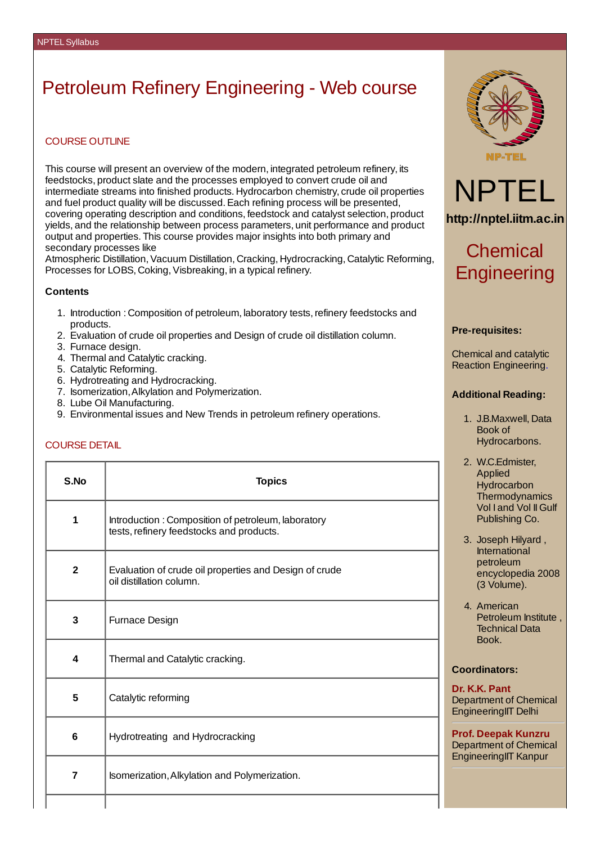# Petroleum Refinery Engineering - Web course

### COURSE OUTLINE

This course will present an overview of the modern, integrated petroleum refinery, its feedstocks, product slate and the processes employed to convert crude oil and intermediate streams into finished products. Hydrocarbon chemistry, crude oil properties and fuel product quality will be discussed. Each refining process will be presented. covering operating description and conditions, feedstock and catalyst selection, product yields, and the relationship between process parameters, unit performance and product output and properties. This course provides major insights into both primary and secondary processes like

Atmospheric Distillation,Vacuum Distillation, Cracking, Hydrocracking, Catalytic Reforming, Processes for LOBS, Coking, Visbreaking, in a typical refinery.

#### **Contents**

- 1. Introduction : Composition of petroleum, laboratory tests,refinery feedstocks and products.
- 2. Evaluation of crude oil properties and Design of crude oil distillation column.
- 3. Furnace design.
- 4. Thermal and Catalytic cracking.
- 5. Catalytic Reforming.
- 6. Hydrotreating and Hydrocracking.
- 7. Isomerization,Alkylation and Polymerization.
- 8. Lube Oil Manufacturing.
- 9. Environmental issues and New Trends in petroleum refinery operations.

## COURSE DETAIL

| S.No           | <b>Topics</b>                                                                                  |
|----------------|------------------------------------------------------------------------------------------------|
| $\mathbf{1}$   | Introduction: Composition of petroleum, laboratory<br>tests, refinery feedstocks and products. |
| $\overline{2}$ | Evaluation of crude oil properties and Design of crude<br>oil distillation column.             |
| 3              | Furnace Design                                                                                 |
| 4              | Thermal and Catalytic cracking.                                                                |
| 5              | Catalytic reforming                                                                            |
| 6              | Hydrotreating and Hydrocracking                                                                |
| $\overline{7}$ | Isomerization, Alkylation and Polymerization.                                                  |
|                |                                                                                                |





**http://nptel.iitm.ac.in**

## Chemical **Engineering**

#### **Pre-requisites:**

Chemical and catalytic Reaction Engineering.

#### **Additional Reading:**

- 1. J.B.Maxwell, Data Book of Hydrocarbons.
- 2. W.C.Edmister, Applied **Hydrocarbon Thermodynamics** Vol I and Vol II Gulf Publishing Co.
- 3. Joseph Hilyard , International petroleum encyclopedia 2008 (3 Volume).
- 4. American Petroleum Institute , Technical Data Book.

#### **Coordinators:**

#### **Dr. K.K. Pant** Department of Chemical EngineeringIIT Delhi

**Prof. Deepak Kunzru** Department of Chemical EngineeringIIT Kanpur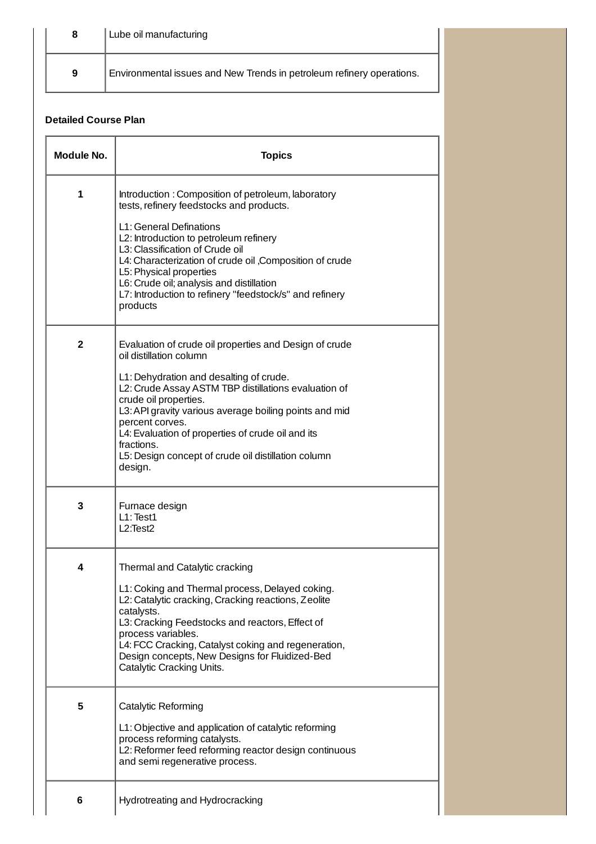|   | Lube oil manufacturing                                                |  |
|---|-----------------------------------------------------------------------|--|
| 9 | Environmental issues and New Trends in petroleum refinery operations. |  |

## **Detailed Course Plan**

| Module No.     | <b>Topics</b>                                                                                                                                                                                                                                                                                                                                                                                                                   |
|----------------|---------------------------------------------------------------------------------------------------------------------------------------------------------------------------------------------------------------------------------------------------------------------------------------------------------------------------------------------------------------------------------------------------------------------------------|
| $\mathbf{1}$   | Introduction: Composition of petroleum, laboratory<br>tests, refinery feedstocks and products.<br>L1: General Definations<br>L2: Introduction to petroleum refinery<br>L3: Classification of Crude oil<br>L4: Characterization of crude oil , Composition of crude<br>L5: Physical properties<br>L6: Crude oil; analysis and distillation<br>L7: Introduction to refinery "feedstock/s" and refinery<br>products                |
| $\overline{2}$ | Evaluation of crude oil properties and Design of crude<br>oil distillation column<br>L1: Dehydration and desalting of crude.<br>L2: Crude Assay ASTM TBP distillations evaluation of<br>crude oil properties.<br>L3: API gravity various average boiling points and mid<br>percent corves.<br>L4: Evaluation of properties of crude oil and its<br>fractions.<br>L5: Design concept of crude oil distillation column<br>design. |
| 3              | Furnace design<br>$L1$ : Test $1$<br>L2:Test2                                                                                                                                                                                                                                                                                                                                                                                   |
| 4              | Thermal and Catalytic cracking<br>L1: Coking and Thermal process, Delayed coking.<br>L2: Catalytic cracking, Cracking reactions, Zeolite<br>catalysts.<br>L3: Cracking Feedstocks and reactors, Effect of<br>process variables.<br>L4: FCC Cracking, Catalyst coking and regeneration,<br>Design concepts, New Designs for Fluidized-Bed<br>Catalytic Cracking Units.                                                           |
| 5              | Catalytic Reforming<br>L1: Objective and application of catalytic reforming<br>process reforming catalysts.<br>L2: Reformer feed reforming reactor design continuous<br>and semi regenerative process.                                                                                                                                                                                                                          |
| 6              | Hydrotreating and Hydrocracking                                                                                                                                                                                                                                                                                                                                                                                                 |